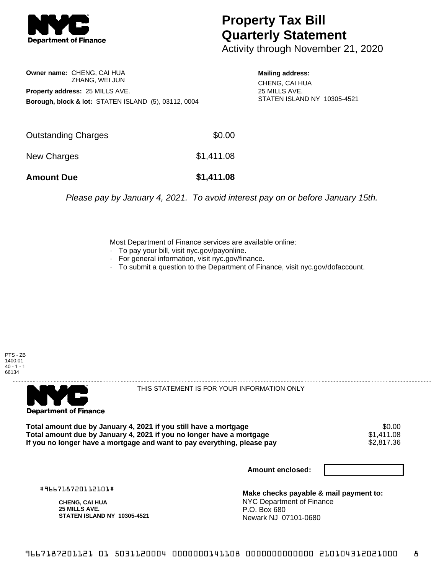

## **Property Tax Bill Quarterly Statement**

Activity through November 21, 2020

## **Owner name:** CHENG, CAI HUA ZHANG, WEI JUN **Property address:** 25 MILLS AVE. **Borough, block & lot:** STATEN ISLAND (5), 03112, 0004

**Mailing address:** CHENG, CAI HUA 25 MILLS AVE. STATEN ISLAND NY 10305-4521

| <b>Amount Due</b>   | \$1,411.08 |
|---------------------|------------|
| New Charges         | \$1,411.08 |
| Outstanding Charges | \$0.00     |

Please pay by January 4, 2021. To avoid interest pay on or before January 15th.

Most Department of Finance services are available online:

- · To pay your bill, visit nyc.gov/payonline.
- For general information, visit nyc.gov/finance.
- · To submit a question to the Department of Finance, visit nyc.gov/dofaccount.





THIS STATEMENT IS FOR YOUR INFORMATION ONLY

Total amount due by January 4, 2021 if you still have a mortgage \$0.00<br>Total amount due by January 4, 2021 if you no longer have a mortgage \$1.411.08 **Total amount due by January 4, 2021 if you no longer have a mortgage**  $$1,411.08$ **<br>If you no longer have a mortgage and want to pay everything, please pay**  $$2,817.36$ If you no longer have a mortgage and want to pay everything, please pay

**Amount enclosed:**

#966718720112101#

**CHENG, CAI HUA 25 MILLS AVE. STATEN ISLAND NY 10305-4521**

**Make checks payable & mail payment to:** NYC Department of Finance P.O. Box 680 Newark NJ 07101-0680